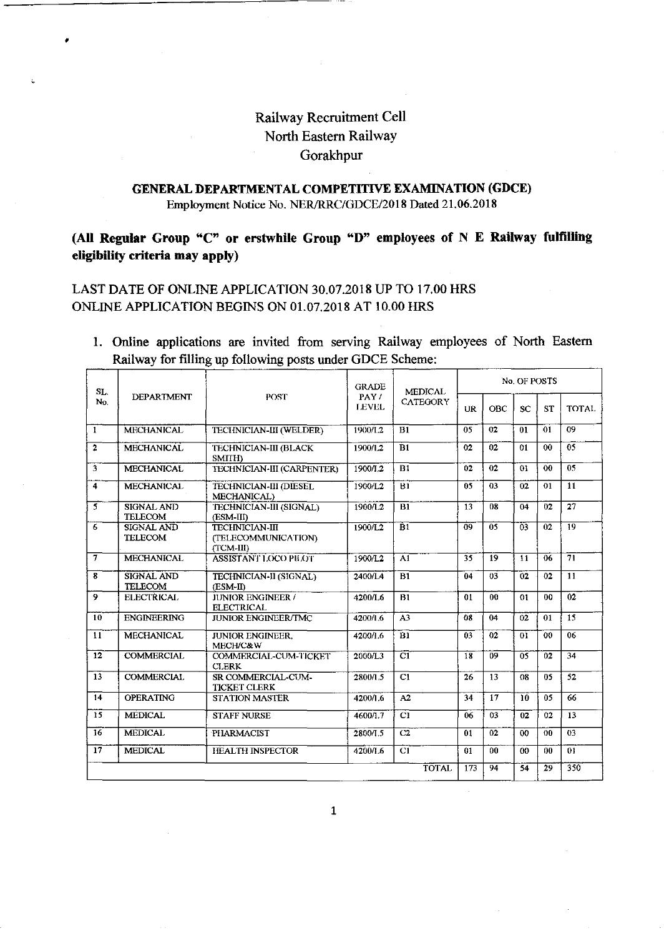# Railway Recruitment Cell North Eastern Railway Gorakhpur

## **GENERAL DEPARTMENTAL COMPETITIVE EXAMINATION (GDCE)**

Employment Notice No. NER/RRC/GDCE/2018 Dated 21.06.2018

## **(All Regular Group** "C" **or erstwhile Group "D" employees of N E Railway fulfilling eligibility criteria may apply)**

### LAST DATE OF ONLINE APPLICATION 30.07.2018 UP TO 17.00 HRS ONLINE APPLICATION BEGINS ON 01.07.2018 AT 10.00 HRS

•

1. Online applications are invited from serving Railway employees of North Eastern Railway for filling up following posts under GDCE Scheme:

| SL.<br>No.              | <b>DEPARTMENT</b>                   | <b>POST</b>                                               | <b>GRADE</b><br>PAY/<br><b>LEVEL</b> | <b>MEDICAL</b><br><b>CATEGORY</b> | No. OF POSTS    |     |                 |           |                 |
|-------------------------|-------------------------------------|-----------------------------------------------------------|--------------------------------------|-----------------------------------|-----------------|-----|-----------------|-----------|-----------------|
|                         |                                     |                                                           |                                      |                                   | UR              | OBC | <b>SC</b>       | <b>ST</b> | <b>TOTAL</b>    |
| $\mathbf{1}$            | <b>MECHANICAL</b>                   | TECHNICIAN-III (WELDER)                                   | 1900/1.2                             | B1                                | 0 <sub>5</sub>  | 02  | 01              | 01        | 09              |
| $\mathbf{2}$            | <b>MECHANICAL</b>                   | <b>TECHNICIAN-III (BLACK</b><br><b>SMITH</b>              | 1900/1.2                             | B1                                | 02              | 02  | 01              | 00        | 05              |
| 3                       | MECHANICAL                          | TECHNICIAN-III (CARPENTER)                                | 1900/1.2                             | <b>B1</b>                         | 02              | 02  | 01              | 00        | $\overline{05}$ |
| $\overline{\mathbf{4}}$ | <b>MECHANICAL</b>                   | <b>TECHNICIAN-III (DIESEL</b><br>MECHANICAL)              | 1900/L2                              | B1                                | 05              | 03  | 02              | 01        | 11              |
| $\overline{5}$          | <b>SIGNAL AND</b><br><b>TELECOM</b> | TECHNICIAN-III (SIGNAL)<br>(ESM-III)                      | 1900/1.2                             | B1                                | 13              | 08  | 04              | 02        | 27              |
| 6                       | <b>SIGNAL AND</b><br><b>TELECOM</b> | <b>TECHNICIAN-III</b><br>(TELECOMMUNICATION)<br>(TCM-III) | 1900/L2                              | B1                                | $\overline{09}$ | 05  | 03              | 02        | 19              |
|                         | <b>MECHANICAL</b>                   | <b>ASSISTANT LOCO PHOT</b>                                | 1900/L2                              | A <sub>1</sub>                    | 35              | 19  | 11              | 06        | $\overline{71}$ |
| $\overline{\mathbf{g}}$ | <b>SIGNAL AND</b><br><b>TELECOM</b> | TECHNICIAN-II (SIGNAL)<br>(ESM-II)                        | 2400/LA                              | B1                                | 04              | 03  | 02              | 02        | 11              |
| 9                       | <b>ELECTRICAL</b>                   | <b>JUNIOR ENGINEER /</b><br><b>ELECTRICAL</b>             | 4200/L6                              | B1                                | 01              | 00  | 01              | 00        | 02              |
| 10                      | <b>ENGINEERING</b>                  | <b>JUNIOR ENGINEER/TMC</b>                                | 4200/1.6                             | A3                                | 08              | 04  | 02              | 01        | $\overline{15}$ |
| 11                      | <b>MECHANICAL</b>                   | <b>JUNIOR ENGINEER.</b><br>MECH/C&W                       | 4200/1.6                             | $\overline{B1}$                   | 03              | 02  | 01              | 00        | 06              |
| 12                      | <b>COMMERCIAL</b>                   | COMMERCIAL-CUM-TICKET<br><b>CLERK</b>                     | 2000/1.3                             | टा                                | $\overline{18}$ | 09  | $\overline{05}$ | 02        | 34              |
| $\overline{13}$         | <b>COMMERCIAL</b>                   | SR COMMERCIAL-CUM-<br><b>TICKET CLERK</b>                 | 2800/1.5                             | CI                                | 26              | 13  | 08              | 05        | 52              |
| 14                      | <b>OPERATING</b>                    | <b>STATION MASTER</b>                                     | 4200/1.6                             | A2                                | 34              | 17  | 10              | 05        | 66              |
| 15                      | <b>MEDICAL</b>                      | <b>STAFF NURSE</b>                                        | 4600/1.7                             | C1                                | 06              | 03  | 02              | 02        | 13              |
| 16                      | <b>MEDICAL</b>                      | <b>PHARMACIST</b>                                         | 2800/1.5                             | C2                                | 01              | 02  | 00              | $^{00}$   | 03              |
| 17                      | <b>MEDICAL</b>                      | <b>HEALTH INSPECTOR</b>                                   | 4200/L6                              | C1                                | 01              | 00  | 00              | 00        | 01              |
|                         |                                     |                                                           |                                      | <b>TOTAL</b>                      | 173             | 94  | 54              | 29        | 350             |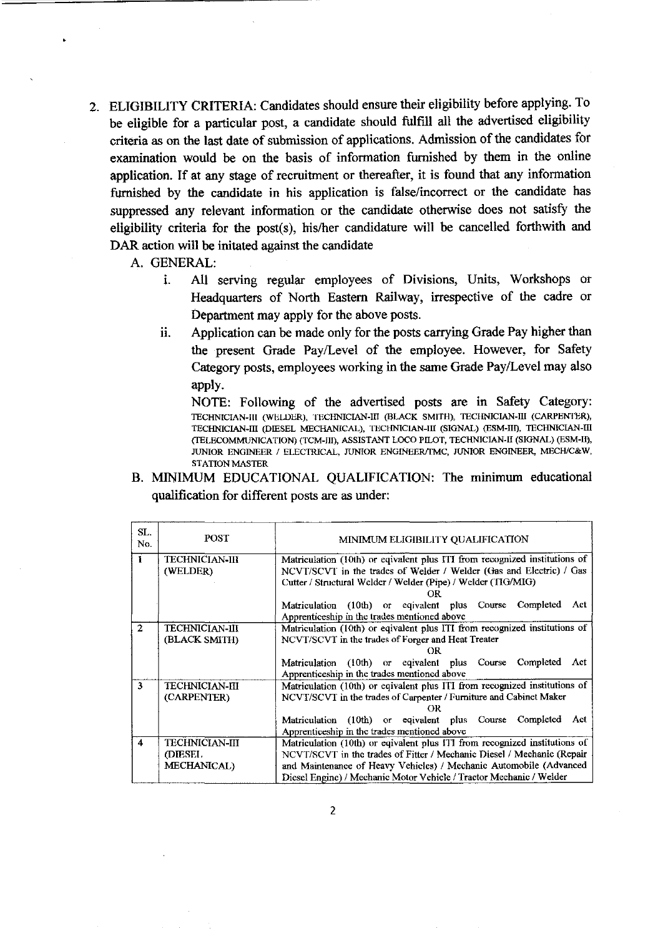2. ELIGIBILITY CRITERIA: Candidates should ensure their eligibility before applying. To be eligible for a particular post, a candidate should fulfill all the advertised eligibility criteria as on the last date of submission of applications. Admission of the candidates for examination would be on the basis of information furnished by them in the online application. If at any stage of recruitment or thereafter, it is found that any information furnished by the candidate in his application is false/incorrect or the candidate has suppressed any relevant information or the candidate otherwise does not satisfy the eligibility criteria for the post(s), his/her candidature will be cancelled forthwith and DAR action will be initated against the candidate

A. GENERAL:

- i. All serving regular employees of Divisions, Units, Workshops or Headquarters of North Eastern Railway, irrespective of the cadre or Department may apply for the above posts.
- ii. Application can be made only for the posts carrying Grade Pay higher than the present Grade Pay/Level of the employee. However, for Safety Category posts, employees working in the same Grade Pay/Level may also apply.

NOTE: Following of the advertised posts are in Safety Category: TECHNICIAN-III (WELDER), TECHNICIAN-III (BLACK SMITH), TECHNICIAN-III (CARPENTER), TECHNICIAN-III (DIESEL MECHANICAL), TECHNICIAN-III (SIGNAL) (ESM-lll), TECHNICIAN-III (fELECOMMUNICATION) (TCM-lll), ASSISTANT LOCO PILOT, TECHNICIAN-I! (SIGNAL) (ESM-II), JUNIOR ENGINEER / ELECTRICAL, JUNIOR ENGINEER/TMC, JUNIOR ENGINEER, MECH/C&W, **STATION MASTER** 

B. MINIMUM EDUCATIONAL QUALIFICATION: The minimum educational qualification for different posts are as under:

| SL.<br>No.          | <b>POST</b>                                      | MINIMUM ELIGIBILITY QUALIFICATION                                                                                                                                                                                                                                                                 |  |  |  |  |
|---------------------|--------------------------------------------------|---------------------------------------------------------------------------------------------------------------------------------------------------------------------------------------------------------------------------------------------------------------------------------------------------|--|--|--|--|
| $\mathbf{1}$        | <b>TECHNICIAN-III</b><br>(WELDER)                | Matriculation (10th) or eqivalent plus ITI from recognized institutions of<br>NCVT/SCVT in the trades of Welder / Welder (Gas and Electric) / Gas<br>Cutter / Structural Welder / Welder (Pipe) / Welder (TIG/MIG)<br>ΟR                                                                          |  |  |  |  |
|                     |                                                  | Matriculation (10th) or eqivalent plus Course Completed<br>Act<br>Apprenticeship in the trades mentioned above                                                                                                                                                                                    |  |  |  |  |
| $\overline{2}$      | <b>TECHNICIAN-III</b><br>(BLACK SMITH)           | Matriculation (10th) or eqivalent plus ITI from recognized institutions of<br>NCVT/SCVT in the trades of Forger and Heat Treater<br>ΩR                                                                                                                                                            |  |  |  |  |
|                     |                                                  | Matriculation (10th) or eqivalent plus Course Completed<br>Act<br>Apprenticeship in the trades mentioned above                                                                                                                                                                                    |  |  |  |  |
| $\overline{3}$      | <b>TECHNICIAN-III</b><br>(CARPENTER)             | Matriculation (10th) or eqivalent plus ITI from recognized institutions of<br>NCVT/SCVT in the trades of Carpenter / Furniture and Cabinet Maker<br>OR                                                                                                                                            |  |  |  |  |
|                     |                                                  | Matriculation (10th) or eqivalent plus Course Completed<br>Act<br>Apprenticeship in the trades mentioned above                                                                                                                                                                                    |  |  |  |  |
| $\overline{\bf{4}}$ | <b>TECHNICIAN-III</b><br>(DIESEL)<br>MECHANICAL) | Matriculation (10th) or eqivalent plus ITI from recognized institutions of<br>NCVT/SCVT in the trades of Fitter / Mechanic Diesel / Mechanic (Repair<br>and Maintenance of Heavy Vehicles) / Mechanic Automobile (Advanced<br>Diesel Engine) / Mechanic Motor Vehicle / Tractor Mechanic / Welder |  |  |  |  |

2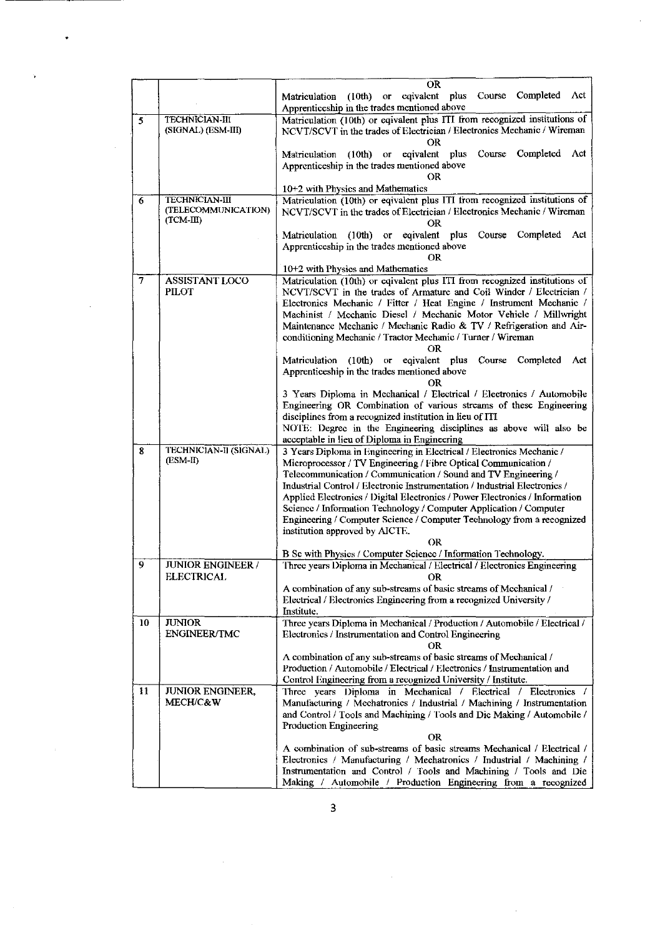|                |                                                             | <b>OR</b>                                                                                                                                                                                                                                                                                                                                                                                                                                                                                                                                                                                                                          |  |  |  |  |
|----------------|-------------------------------------------------------------|------------------------------------------------------------------------------------------------------------------------------------------------------------------------------------------------------------------------------------------------------------------------------------------------------------------------------------------------------------------------------------------------------------------------------------------------------------------------------------------------------------------------------------------------------------------------------------------------------------------------------------|--|--|--|--|
|                |                                                             | Completed Act<br>Course<br>eqivalent plus<br>$(10th)$ or<br>Matriculation<br>Apprenticeship in the trades mentioned above                                                                                                                                                                                                                                                                                                                                                                                                                                                                                                          |  |  |  |  |
| 5              | <b>TECHNICIAN III</b><br>(SIGNAL) (ESM-III)                 | Matriculation (10th) or eqivalent plus ITI from recognized institutions of<br>NCVT/SCVT in the trades of Electrician / Electronics Mechanic / Wireman<br>OR                                                                                                                                                                                                                                                                                                                                                                                                                                                                        |  |  |  |  |
|                |                                                             | or eqivalent plus<br>Course<br>Completed<br>Act<br>Matriculation<br>(10th)<br>Apprenticeship in the trades mentioned above                                                                                                                                                                                                                                                                                                                                                                                                                                                                                                         |  |  |  |  |
|                |                                                             | OR<br>10+2 with Physics and Mathematics                                                                                                                                                                                                                                                                                                                                                                                                                                                                                                                                                                                            |  |  |  |  |
| 6              | <b>TECHNICIAN-III</b><br>(TELECOMMUNICATION)<br>$(TCM-III)$ | Matriculation (10th) or eqivalent plus ITI from recognized institutions of<br>NCVT/SCVT in the trades of Electrician / Electronics Mechanic / Wireman<br>OR                                                                                                                                                                                                                                                                                                                                                                                                                                                                        |  |  |  |  |
|                |                                                             | Matriculation (10th) or eqivalent plus<br>Course<br>Completed<br>Act<br>Apprenticeship in the trades mentioned above<br>OR                                                                                                                                                                                                                                                                                                                                                                                                                                                                                                         |  |  |  |  |
|                |                                                             | 10+2 with Physics and Mathematics                                                                                                                                                                                                                                                                                                                                                                                                                                                                                                                                                                                                  |  |  |  |  |
| $\overline{7}$ | <b>ASSISTANT LOCO</b><br><b>PILOT</b>                       | Matriculation (10th) or eqivalent plus ITI from recognized institutions of<br>NCVT/SCVT in the trades of Armature and Coil Winder / Electrician /<br>Electronics Mechanic / Fitter / Heat Engine / Instrument Mechanic /<br>Machinist / Mechanic Diesel / Mechanic Motor Vehicle / Millwright<br>Maintenance Mechanic / Mechanic Radio & TV / Refrigeration and Air-<br>conditioning Mechanic / Tractor Mechanic / Turner / Wireman<br>OR.                                                                                                                                                                                         |  |  |  |  |
|                |                                                             | eqivalent plus<br>Completed Act<br>Matriculation (10th)<br>Course<br>O <sub>r</sub><br>Apprenticeship in the trades mentioned above<br>OR<br>3 Years Diploma in Mcchanical / Electrical / Electronics / Automobile<br>Engineering OR Combination of various streams of these Engineering<br>disciplines from a recognized institution in lieu of ITI<br>NOTE: Degree in the Engineering disciplines as above will also be<br>acceptable in lieu of Diploma in Engineering                                                                                                                                                          |  |  |  |  |
| 8              | TECHNICIAN-II (SIGNAL)<br>(ESM-II)                          | 3 Years Diploma in Engineering in Electrical / Electronics Mechanic /<br>Microprocessor / TV Engineering / Fibre Optical Communication /<br>Telecommunication / Communication / Sound and TV Engineering /<br>Industrial Control / Electronic Instrumentation / Industrial Electronics /<br>Applied Electronics / Digital Electronics / Power Electronics / Information<br>Science / Information Technology / Computer Application / Computer<br>Engineering / Computer Science / Computer Technology from a recognized<br>institution approved by AICTE.<br>OR.<br>B Sc with Physics / Computer Science / Information Technology. |  |  |  |  |
| 9              | <b>JUNIOR ENGINEER /</b><br><b>ELECTRICAL</b>               | Three years Diploma in Mechanical / Electrical / Electronics Engineering<br>UΚ<br>A combination of any sub-streams of basic streams of Mechanical /<br>Electrical / Electronics Engineering from a recognized University /                                                                                                                                                                                                                                                                                                                                                                                                         |  |  |  |  |
| 10             | <b>JUNIOR</b>                                               | Institute.<br>Three years Diploma in Mechanical / Production / Automobile / Electrical /                                                                                                                                                                                                                                                                                                                                                                                                                                                                                                                                           |  |  |  |  |
|                | <b>ENGINEER/TMC</b>                                         | Electronics / Instrumentation and Control Engineering<br>OR.<br>A combination of any sub-streams of basic streams of Mechanical /<br>Production / Automobile / Electrical / Electronics / Instrumentation and<br>Control Engineering from a recognized University / Institute.                                                                                                                                                                                                                                                                                                                                                     |  |  |  |  |
| 11             | JUNIOR ENGINEER,<br>MECH/C&W                                | Three years Diploma in Mechanical / Electrical / Electronics /<br>Manufacturing / Mechatronics / Industrial / Machining / Instrumentation<br>and Control / Tools and Machining / Tools and Die Making / Automobile /<br>Production Engineering<br>OR<br>A combination of sub-streams of basic streams Mechanical / Electrical /<br>Electronics / Manufacturing / Mechatronics / Industrial / Machining /<br>Instrumentation and Control / Tools and Machining / Tools and Die<br>Making / Automobile / Production Engineering from a recognized                                                                                    |  |  |  |  |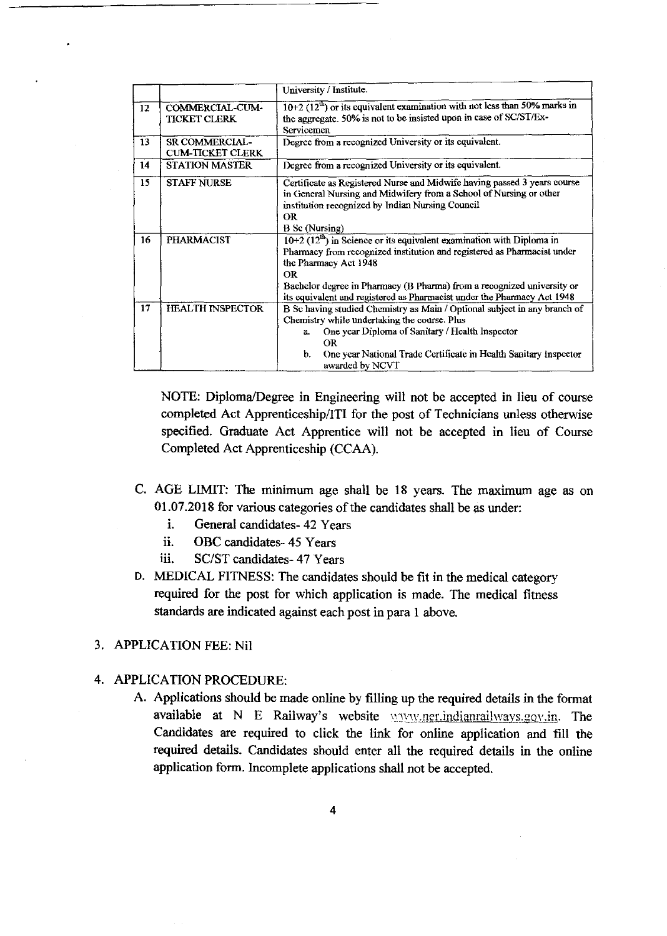|                 |                                                  | University / Institute.                                                                                                                                                                                                                                                                                                                            |  |  |
|-----------------|--------------------------------------------------|----------------------------------------------------------------------------------------------------------------------------------------------------------------------------------------------------------------------------------------------------------------------------------------------------------------------------------------------------|--|--|
| 12 <sup>2</sup> | COMMERCIAL-CUM-<br><b>TICKET CLERK</b>           | $10+2$ ( $12^{\text{th}}$ ) or its equivalent examination with not less than 50% marks in<br>the aggregate. 50% is not to be insisted upon in case of SC/ST/Ex-<br><b>Servicemen</b>                                                                                                                                                               |  |  |
| 13              | <b>SR COMMERCIAL-</b><br><b>CUM-TICKET CLERK</b> | Degree from a recognized University or its equivalent.                                                                                                                                                                                                                                                                                             |  |  |
| 14              | <b>STATION MASTER</b>                            | Degree from a recognized University or its equivalent.                                                                                                                                                                                                                                                                                             |  |  |
| 15              | <b>STAFF NURSE</b>                               | Certificate as Registered Nurse and Midwife having passed 3 years course<br>in General Nursing and Midwifery from a School of Nursing or other<br>institution recognized by Indian Nursing Council<br><b>OR</b><br><b>B</b> Sc (Nursing)                                                                                                           |  |  |
| 16              | <b>PHARMACIST</b>                                | $10+2$ (12 <sup>th</sup> ) in Science or its equivalent examination with Diploma in<br>Pharmacy from recognized institution and registered as Pharmacist under<br>the Pharmacy Act 1948<br>OR<br>Bachelor degree in Pharmacy (B Pharma) from a recognized university or<br>its equivalent and registered as Pharmacist under the Pharmacy Act 1948 |  |  |
| 17              | <b>HEALTH INSPECTOR</b>                          | B Sc having studied Chemistry as Main / Optional subject in any branch of<br>Chemistry while undertaking the course. Plus<br>One year Diploma of Sanitary / Health Inspector<br>а.<br><b>OR</b><br>One year National Trade Certificate in Health Sanitary Inspector<br>b.<br>awarded by NCVT                                                       |  |  |

NOTE: Diploma/Degree in Engineering will not be accepted in lieu of course completed Act Apprenticeship/ITI for the post of Technicians unless otherwise specified. Graduate Act Apprentice will not be accepted in lieu of Course Completed Act Apprenticeship (CCAA).

- C. AGE LIMIT: The minimum age shall be 18 years. The maximum age as on 01.07.2018 for various categories of the candidates shall be as under:
	- i. General candidates- 42 Years
	- ii. OBC candidates- 45 Years
	- iii. SC/ST candidates- 47 Years
- D. MEDICAL FITNESS: The candidates should be fit in the medical category required for the post for which application is made. The medical fitness standards are indicated against each post in para 1 above.

#### 3. APPLICATION FEE: Nil

- 4. APPLICATION PROCEDURE:
	- A. Applications should be made online by filling up the required details in the format available at N E Railway's website  $\frac{1}{2}$  waviv.ner.indianrailways.gov.in. The Candidates are required to click the link for online application and fill the required details. Candidates should enter all the required details in the online application form. Incomplete applications shall not be accepted.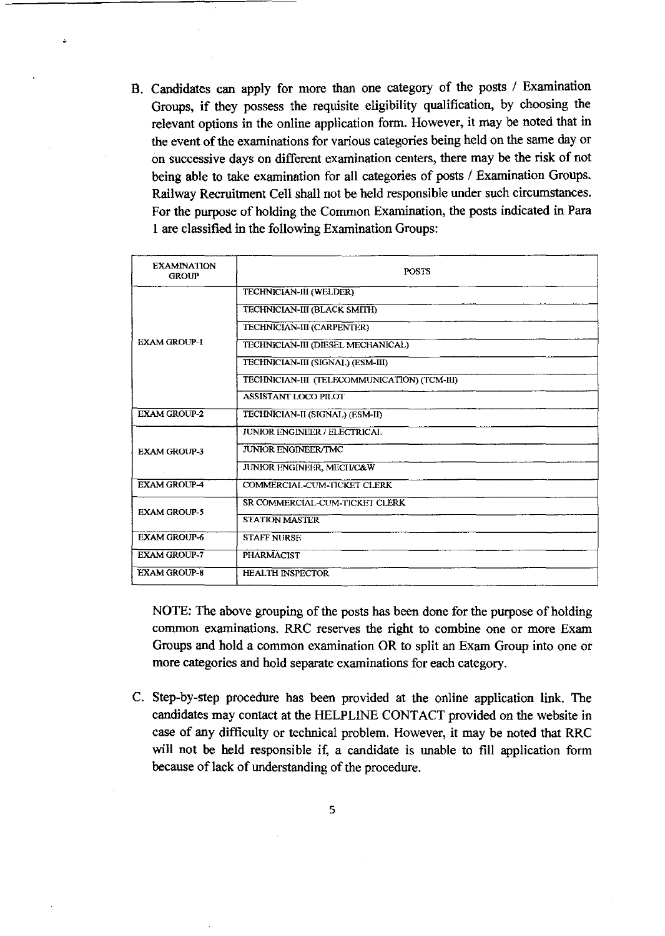B. Candidates can apply for more than one category of the posts / Examination Groups, if they possess the requisite eligibility qualification, by choosing the relevant options in the online application form. However, it may be noted that in the event of the examinations for various categories being held on the same day or on successive days on different examination centers, there may be the risk of not being able to take examination for all categories of posts / Examination Groups. Railway Recruitment Cell shall not be held responsible under such circumstances. For the purpose of holding the Common Examination, the posts indicated in Para 1 are classified in the following Examination Groups:

| <b>EXAMINATION</b><br><b>GROUP</b> | <b>POSTS</b>                                 |
|------------------------------------|----------------------------------------------|
|                                    | <b>TECHNICIAN-III (WELDER)</b>               |
|                                    | TECHNICIAN-III (BLACK SMITH)                 |
|                                    | TECHNICIAN-III (CARPENTER)                   |
| <b>EXAM GROUP-1</b>                | TECHNICIAN-III (DIESEL MECHANICAL)           |
|                                    | TECHNICIAN-III (SIGNAL) (ESM-III)            |
|                                    | TECHNICIAN-III (TELECOMMUNICATION) (TCM-III) |
|                                    | <b>ASSISTANT LOCO PILOT</b>                  |
| <b>EXAM GROUP-2</b>                | TECHNICIAN-II (SIGNAL) (ESM-II)              |
|                                    | <b>JUNIOR ENGINEER / ELECTRICAL</b>          |
| <b>EXAM GROUP-3</b>                | <b>JUNIOR ENGINEER/TMC</b>                   |
|                                    | JUNIOR ENGINEER, MECH/C&W                    |
| <b>EXAM GROUP-4</b>                | COMMERCIAL-CUM-TICKET CLERK                  |
| <b>EXAM GROUP-5</b>                | SR COMMERCIAL-CUM-TICKET CLERK               |
|                                    | <b>STATION MASTER</b>                        |
| <b>EXAM GROUP-6</b>                | <b>STAFF NURSE</b>                           |
| <b>EXAM GROUP-7</b>                | <b>PHARMACIST</b>                            |
| <b>EXAM GROUP-8</b>                | <b>HEALTH INSPECTOR</b>                      |

NOTE: The above grouping of the posts has been done for the purpose of holding common examinations. RRC reserves the right to combine one or more Exam Groups and hold a common examination OR to split an Exam Group into one or more categories and hold separate examinations for each category.

C. Step-by-step procedure has been provided at the online application link. The candidates may contact at the HELPLINE CONTACT provided on the website in case of any difficulty or technical problem. However, it may be noted that RRC will not be held responsible if, a candidate is unable to fill application form because of lack of understanding of the procedure.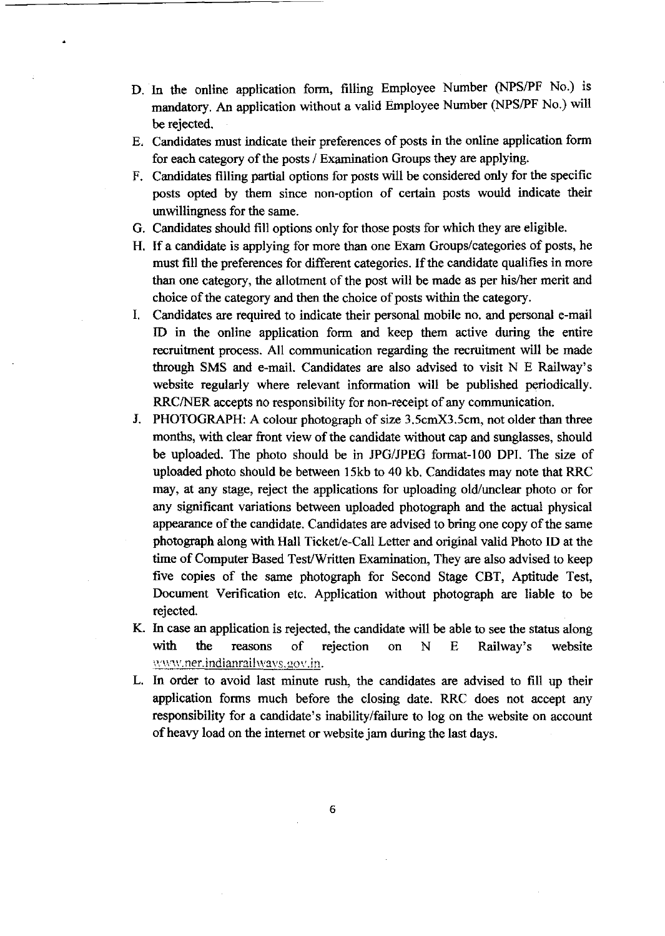- D. In the online application form, filling Employee Number (NPS/PF No.) is mandatory. An application without a valid Employee Number (NPS/PF No.) will be rejected.
- E. Candidates must indicate their preferences of posts in the online application form for each category of the posts / Examination Groups they are applying.
- F. Candidates filling partial options for posts will be considered only for the specific posts opted by them since non-option of certain posts would indicate their unwillingness for the same.
- G. Candidates should fill options only for those posts for which they are eligible.
- H. If a candidate is applying for more than one Exam Groups/categories of posts, he must fill the preferences for different categories. If the candidate qualifies in more than one category, the allotment of the post will be made as per his/her merit and choice of the category and then the choice of posts within the category.
- I. Candidates are required to indicate their personal mobile no. and personal e-mail ID in the online application form and keep them active during the entire recruitment process. All communication regarding the recruitment will be made through SMS and e-mail. Candidates are also advised to visit N E Railway's website regularly where relevant information will be published periodically. RRC/NER accepts no responsibility for non-receipt of any communication.
- J. PHOTOGRAPH: A colour photograph of size 3.5cmX3.5cm, not older than three months, with clear front view of the candidate without cap and sunglasses, should be uploaded. The photo should be in JPG/JPEG format-100 DPI. The size of uploaded photo should be between 15kb to 40 kb. Candidates may note that RRC may, at any stage, reject the applications for uploading old/unclear photo or for any significant variations between uploaded photograph and the actual physical appearance of the candidate. Candidates are advised to bring one copy of the same photograph along with Hall Ticket/e-Call Letter and original valid Photo ID at the time of Computer Based Test/Written Examination, They are also advised to keep five copies of the same photograph for Second Stage CBT, Aptitude Test, Document Verification etc. Application without photograph are liable to be rejected.
- K. In case an application is rejected, the candidate will be able to see the status along with the reasons of rejection on N E Railway's website www.ner.indianrailwavs.gov.in.
- L. In order to avoid last minute rush, the candidates are advised to fill up their application forms much before the closing date. RRC does not accept any responsibility for a candidate's inability/failure to log on the website on account of heavy load on the internet or website jam during the last days.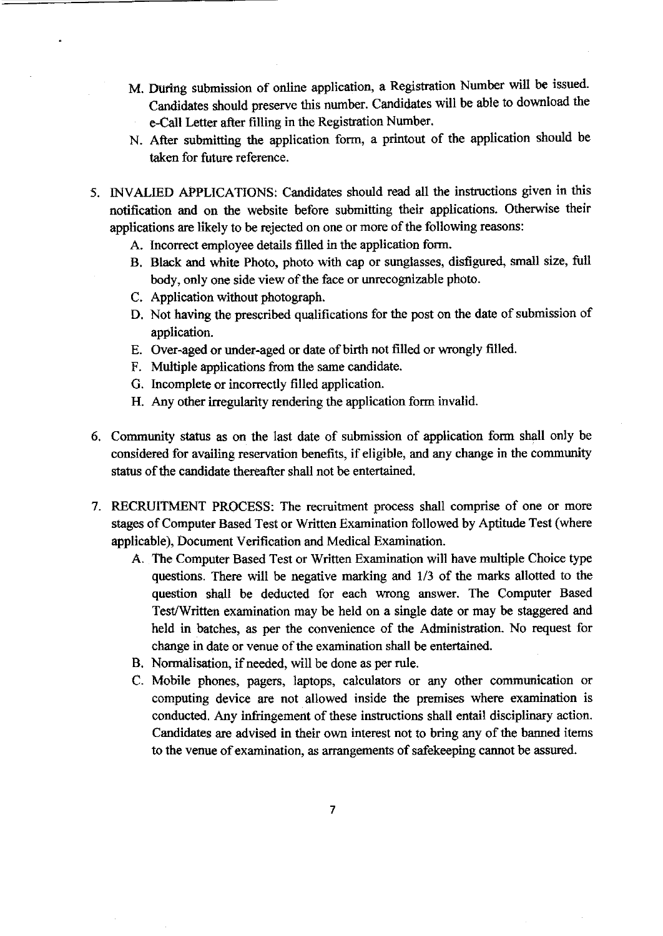- M. During submission of online application, a Registration Number will be issued. Candidates should preserve this number. Candidates will be able to download the e-Call Letter after filling in the Registration Number.
- N. After submitting the application form, a printout of the application should be taken for future reference.
- 5. INVALIED APPLICATIONS: Candidates should read all the instructions given in this notification and on the website before submitting their applications. Otherwise their applications are likely to be rejected on one or more of the following reasons:
	- A. Incorrect employee details filled in the application form.
	- B. Black and white Photo, photo with cap or sunglasses, disfigured, small size, full body, only one side view of the face or unrecognizable photo.
	- C. Application without photograph.
	- D. Not having the prescribed qualifications for the post on the date of submission of application.
	- E. Over-aged or under-aged or date of birth not filled or wrongly filled.
	- F. Multiple applications from the same candidate.
	- G. Incomplete or incorrectly filled application.
	- H. Any other irregularity rendering the application form invalid.
- 6. Community status as on the last date of submission of application form shall only be considered for availing reservation benefits, if eligible, and any change in the community status of the candidate thereafter shall not be entertained.
- 7. RECRUITMENT PROCESS: The recruitment process shall comprise of one or more stages of Computer Based Test or Written Examination followed by Aptitude Test (where applicable), Document Verification and Medical Examination.
	- A. The Computer Based Test or Written Examination will have multiple Choice type questions. There will be negative marking and 1/3 of the marks allotted to the question shall be deducted for each wrong answer. The Computer Based Test/Written examination may be held on a single date or may be staggered and held in batches, as per the convenience of the Administration. No request for change in date or venue of the examination shall be entertained.
	- B. Normalisation, if needed, will be done as per rule.
	- C. Mobile phones, pagers, laptops, calculators or any other communication or computing device are not allowed inside the premises where examination is conducted. Any infringement of these instructions shall entail disciplinary action. Candidates are advised in their own interest not to bring any of the banned items to the venue of examination, as arrangements of safekeeping cannot be assured.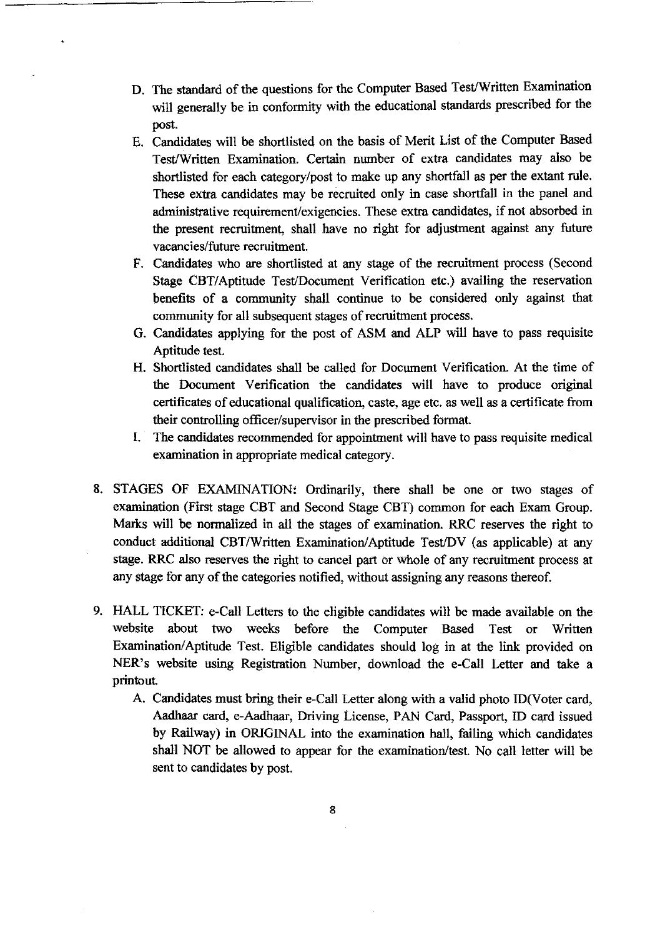- D. The standard of the questions for the Computer Based Test/Written Examination will generally be in conformity with the educational standards prescribed for the post.
- E. Candidates will be shortlisted on the basis of Merit List of the Computer Based Test/Written Examination. Certain number of extra candidates may also be shortlisted for each category/post to make up any shortfall as per the extant rule. These extra candidates may be recruited only in case shortfall in the panel and administrative requirement/exigencies. These extra candidates, if not absorbed in the present recruitment, shall have no right for adjustment against any future vacancies/future recruitment.
- F. Candidates who are shortlisted at any stage of the recruitment process (Second Stage CBT/Aptitude Test/Document Verification etc.) availing the reservation benefits of a community shall continue to be considered only against that community for all subsequent stages of recruitment process.
- G. Candidates applying for the post of ASM and ALP will have to pass requisite Aptitude test.
- H. Shortlisted candidates shall be called for Document Verification. At the time of the Document Verification the candidates will have to produce original certificates of educational qualification, caste, age etc. as well as a certificate from their controlling officer/supervisor in the prescribed format.
- I. The candidates recommended for appointment will have to pass requisite medical examination in appropriate medical category.
- 8. STAGES OF EXAMINATION: Ordinarily, there shall be one or two stages of examination (First stage CBT and Second Stage CBT) common for each Exam Group. Marks will be normalized in all the stages of examination. RRC reserves the right to conduct additional CST/Written Examination/Aptitude Test/DY (as applicable) at any stage. RRC also reserves the right to cancel part or whole of any recruitment process at any stage for any of the categories notified, without assigning any reasons thereof.
- 9. HALL TICKET: e-Call Letters to the eligible candidates will be made available on the website about two weeks before the Computer Based Test or Written Examination/ Aptitude Test. Eligible candidates should log in at the link provided on NER's website using Registration Number, download the e-Call Letter and take a printout.
	- A. Candidates must bring their e-Call Letter along with a valid photo ID(V oter card, Aadhaar card, e-Aadhaar, Driving License, PAN Card, Passport, ID card issued by Railway) in ORIGINAL into the examination hall, failing which candidates shall NOT be allowed to appear for the examination/test. No call Jetter will be sent to candidates by post.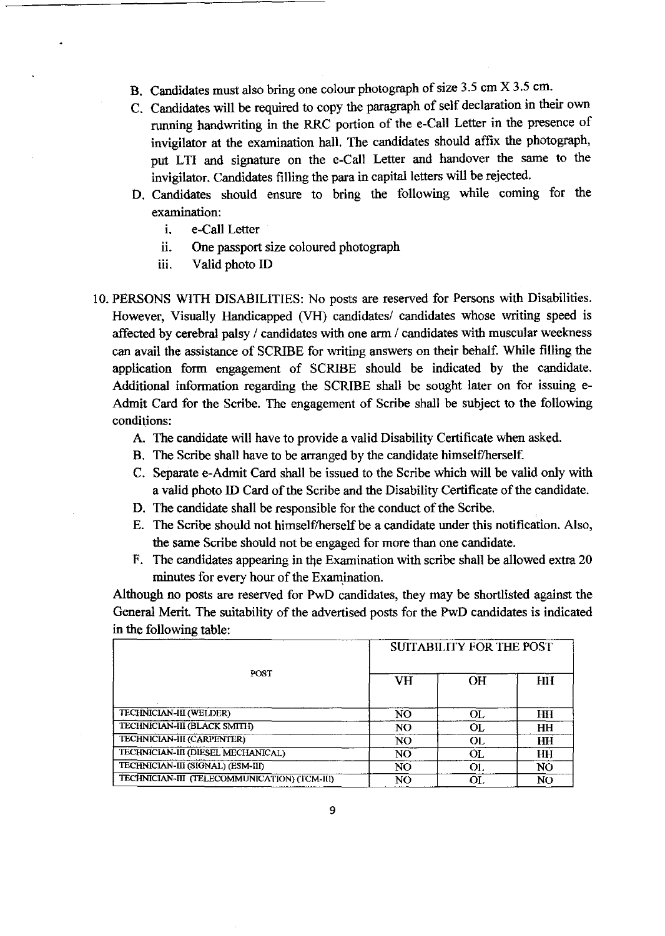- B. Candidates must also bring one colour photograph of size 3.5 cm X 3.5 cm.
- C. Candidates will be required to copy the paragraph of self declaration in their own running handwriting in the RRC portion of the e-Call Letter in the presence of invigilator at the examination hall. The candidates should affix the photograph, put LTI and signature on the e-Call Letter and handover the same to the invigilator. Candidates filling the para in capital letters will be rejected.
- 0. Candidates should ensure to bring the following while coming for the examination:
	- i. e-Call Letter
	- ii. One passport size coloured photograph
	- iii. Valid photo ID
- 10. PERSONS WITH DISABILITIES: No posts are reserved for Persons with Disabilities. However, Visually Handicapped (VH) candidates/ candidates whose writing speed is affected by cerebral palsy / candidates with one arm / candidates with muscular weekness can avail the assistance of SCRIBE for writing answers on their behalf. While filling the application form engagement of SCRIBE should be indicated by the candidate. Additional information regarding the SCRIBE shall be sought later on for issuing e-Admit Card for the Scribe. The engagement of Scribe shall be subject to the following conditions:
	- A. The candidate will have to provide a valid Disability Certificate when asked.
	- B. The Scribe shall have to be arranged by the candidate himself/herself.
	- C. Separate e-Admit Card shall be issued to the Scribe which will be valid only with a valid photo ID Card of the Scribe and the Disability Certificate of the candidate.
	- D. The candidate shall be responsible for the conduct of the Scribe.
	- E. The Scribe should not himself/herself be a candidate under this notification. Also, the same Scribe should not be engaged for more than one candidate.
	- F. The candidates appearing in the Examination with scribe shall be allowed extra 20 minutes for every hour of the Examination.

Although no posts are reserved for PwD candidates, they may be shortlisted against the General Merit. The suitability of the advertised posts for the PwD candidates is indicated in the following table:

|                                              | <b>SUITABILITY FOR THE POST</b> |     |                |  |  |
|----------------------------------------------|---------------------------------|-----|----------------|--|--|
| POST                                         | VH                              | OН  | ĦН             |  |  |
| TECHNICIAN-III (WELDER)                      | NO                              | OL. | HН             |  |  |
| TECHNICIAN-III (BLACK SMITH)                 | N <sub>O</sub>                  | OL. | HH             |  |  |
| TECHNICIAN-III (CARPENTER)                   | NO.                             | OL. | HН             |  |  |
| TECHNICIAN-III (DIESEL MECHANICAL)           | N <sub>O</sub>                  | OL. | HH             |  |  |
| TECHNICIAN-III (SIGNAL) (ESM-III)            | NO                              | OI. | NO             |  |  |
| TECHNICIAN-III (TELECOMMUNICATION) (TCM-III) | NO                              | OL. | N <sub>O</sub> |  |  |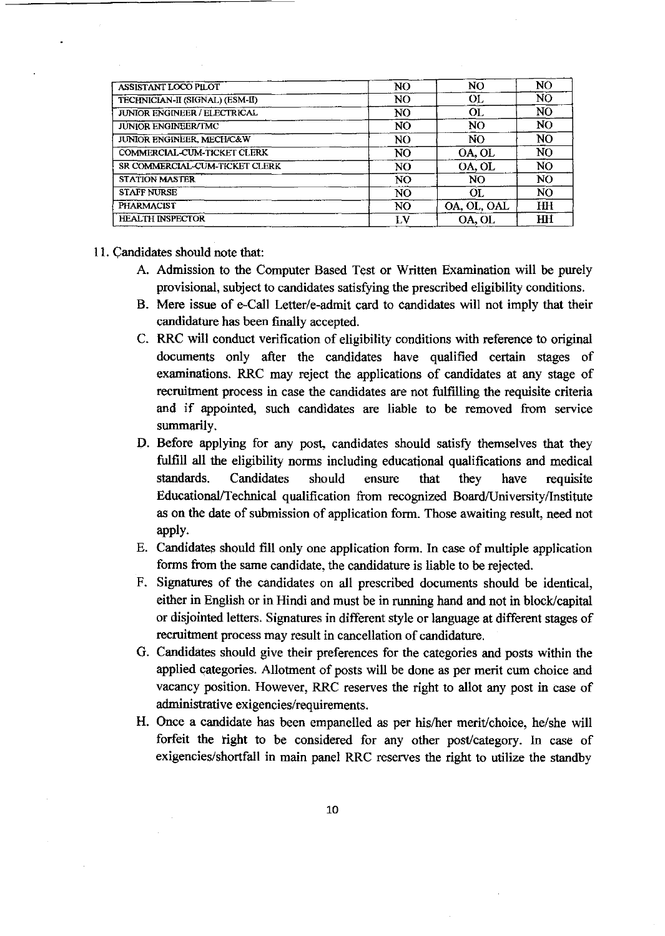| ASSISTANT LOCO PILOT                   | N <sub>O</sub> | N <sub>O</sub> | NO             |
|----------------------------------------|----------------|----------------|----------------|
| <b>TECHNICIAN-II (SIGNAL) (ESM-II)</b> | NO.            | <b>OL</b>      | NO             |
| JUNIOR ENGINEER / ELECTRICAL           | N <sub>O</sub> | OL             | NO             |
| <b>JUNIOR ENGINEER/TMC</b>             | NO.            | NO.            | NO.            |
| JUNIOR ENGINEER, MECH/C&W              | N <sub>O</sub> | NO.            | NO             |
| COMMERCIAL-CUM-TICKET CLERK            | N0             | OA, OL         | NO             |
| SR COMMERCIAL-CUM-TICKET CLERK         | NO.            | OA, OL         | NO.            |
| <b>STATION MASTER</b>                  | NO.            | NO             | N <sub>O</sub> |
| <b>STAFF NURSE</b>                     | N <sub>O</sub> | OL.            | NO             |
| <b>PHARMACIST</b>                      | N <sub>O</sub> | OA, OL, OAL    | HH             |
| <b>HEALTH INSPECTOR</b>                | LV             | OA, OL         | HH             |

- 11. Candidates should note that:
	- A. Admission to the Computer Based Test or Written Examination will be purely provisional, subject to candidates satisfying the prescribed eligibility conditions.
	- B. Mere issue of e-Call Letter/e-admit card to candidates will not imply that their candidature has been finally accepted.
	- C. RRC will conduct verification of eligibility conditions with reference to original documents only after the candidates have qualified certain stages of examinations. RRC may reject the applications of candidates at any stage of recruitment process in case the candidates are not fulfilling the requisite criteria and if appointed, such candidates are liable to be removed from service summarily.
	- D. Before applying for any post, candidates should satisfy themselves that they fulfill all the eligibility norms including educational qualifications and medical standards. Candidates should ensure that they have requisite Educational/Technical qualification from recognized Board/University/Institute as on the date of submission of application form. Those awaiting result, need not apply.
	- E. Candidates should fill only one application form. In case of multiple application forms from the same candidate, the candidature is liable to be rejected.
	- F. Signatures of the candidates on all prescribed documents should be identical, either in English or in Hindi and must be in running hand and not in block/capital or disjointed letters. Signatures in different style or language at different stages of recruitment process may result in cancellation of candidature.
	- G. Candidates should give their preferences for the categories and posts within the applied categories. Allotment of posts will be done as per merit cum choice and vacancy position. However, RRC reserves the right to allot any post in case of administrative exigencies/requirements.
	- H. Once a candidate has been empanelled as per his/her merit/choice, he/she will forfeit the right to be considered for any other post/category. In case of exigencies/shortfall in main panel RRC reserves the right to utilize the standby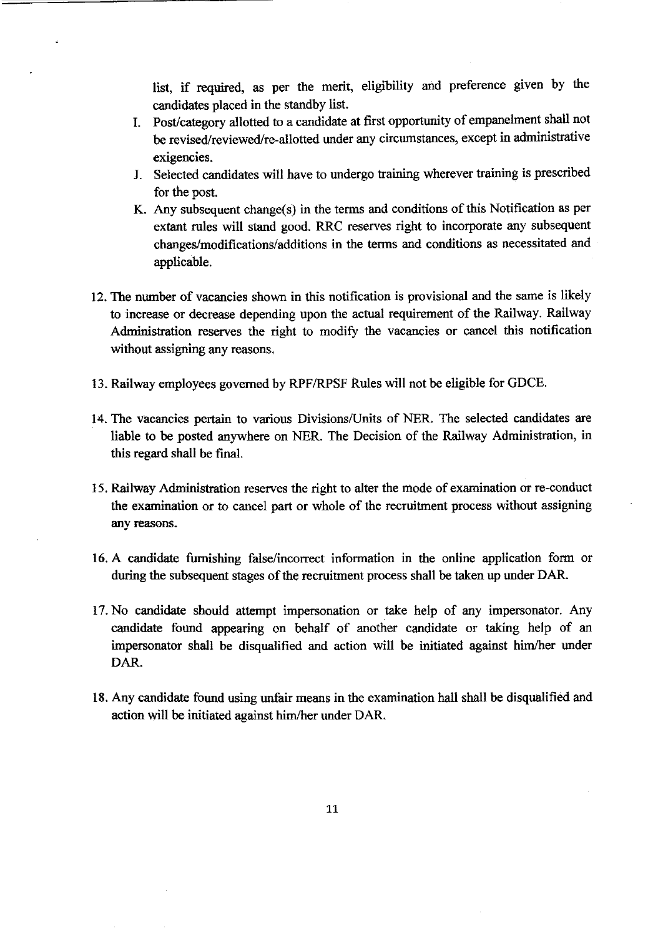list, if required, as per the merit, eligibility and preference given by the candidates placed in the standby list.

- I. Post/category allotted to a candidate at first opportunity of empanelment shall not be revised/reviewed/re-allotted under any circumstances, except in administrative exigencies.
- J. Selected candidates will have to undergo training wherever training is prescribed for the post.
- K. Any subsequent change(s) in the terms and conditions of this Notification as per extant rules will stand good. RRC reserves right to incorporate any subsequent changes/modifications/additions in the terms and conditions as necessitated and applicable.
- 12. The number of vacancies shown in this notification is provisional and the same is likely to increase or decrease depending upon the actual requirement of the Railway. Railway Administration reserves the right to modify the vacancies or cancel this notification without assigning any reasons.
- 13. Railway employees governed by RPFIRPSF Rules will not be eligible for GDCE.
- 14. The vacancies pertain to various Divisions/Units of NER. The selected candidates are liable to be posted anywhere on NER. The Decision of the Railway Administration, in this regard shall be final.
- 15. Railway Administration reserves the right to alter the mode of examination or re-conduct the examination or to cancel part or whole of the recruitment process without assigning any reasons.
- 16. A candidate furnishing false/incorrect information in the online application form or during the subsequent stages of the recruitment process shall be taken up under DAR.
- 17. No candidate should attempt impersonation or take help of any impersonator. Any candidate found appearing on behalf of another candidate or taking help of an impersonator shall be disqualified and action will be initiated against him/her under DAR.
- 18. Any candidate found using unfair means in the examination hall shall be disqualified and action will be initiated against him/her under DAR.